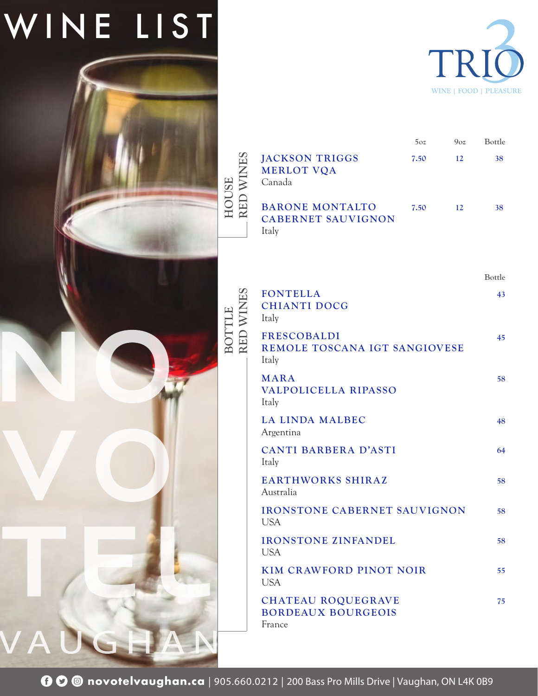## WINE LIST

 $\blacktriangle$ 



|                           |                                                                  | 5oz  | $9_{OZ}$ | Bottle |
|---------------------------|------------------------------------------------------------------|------|----------|--------|
| RED WINES<br><b>HOUSE</b> | <b>JACKSON TRIGGS</b><br><b>MERLOT VQA</b><br>Canada             | 7.50 | 12       | 38     |
|                           | <b>BARONE MONTALTO</b><br><b>CABERNET SAUVIGNON</b><br>Italy     | 7.50 | 12       | 38     |
|                           |                                                                  |      |          | Bottle |
|                           | <b>FONTELLA</b><br><b>CHIANTI DOCG</b><br>Italy                  |      |          | 43     |
| BOTTLE<br>RED WINI        | <b>FRESCOBALDI</b><br>REMOLE TOSCANA IGT SANGIOVESE<br>Italy     |      |          | 45     |
|                           | <b>MARA</b><br><b>VALPOLICELLA RIPASSO</b><br>Italy              |      |          | 58     |
|                           | <b>LA LINDA MALBEC</b><br>Argentina                              |      |          | 48     |
|                           | CANTI BARBERA D'ASTI<br>Italy                                    |      |          | 64     |
|                           | <b>EARTHWORKS SHIRAZ</b><br>Australia                            |      |          | 58     |
|                           | <b>IRONSTONE CABERNET SAUVIGNON</b><br><b>USA</b>                |      |          | 58     |
|                           | <b>IRONSTONE ZINFANDEL</b><br><b>USA</b>                         |      |          | 58     |
|                           | <b>KIM CRAWFORD PINOT NOIR</b><br><b>USA</b>                     |      |          | 55     |
|                           | <b>CHATEAU ROQUEGRAVE</b><br><b>BORDEAUX BOURGEOIS</b><br>France |      |          | 75     |
|                           |                                                                  |      |          |        |